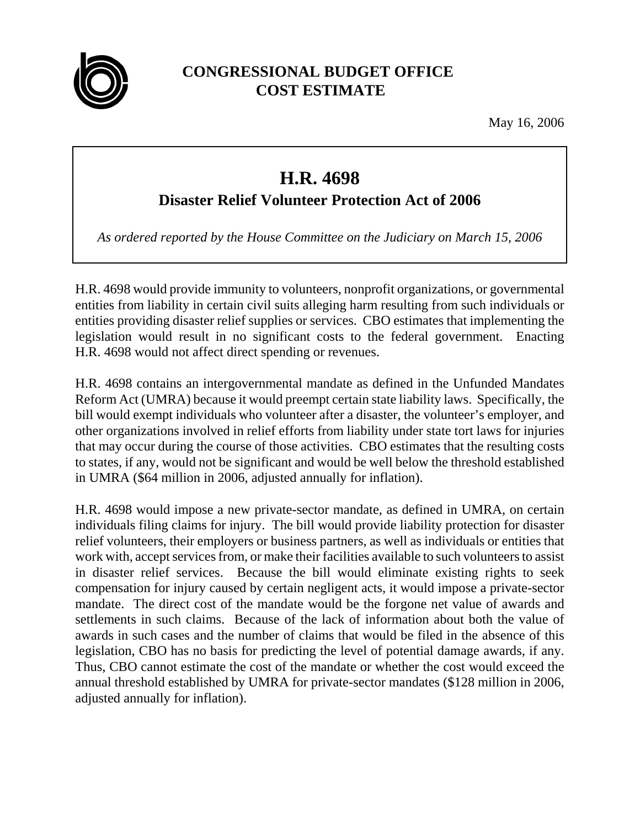

## **CONGRESSIONAL BUDGET OFFICE COST ESTIMATE**

May 16, 2006

## **H.R. 4698**

## **Disaster Relief Volunteer Protection Act of 2006**

*As ordered reported by the House Committee on the Judiciary on March 15, 2006*

H.R. 4698 would provide immunity to volunteers, nonprofit organizations, or governmental entities from liability in certain civil suits alleging harm resulting from such individuals or entities providing disaster relief supplies or services. CBO estimates that implementing the legislation would result in no significant costs to the federal government. Enacting H.R. 4698 would not affect direct spending or revenues.

H.R. 4698 contains an intergovernmental mandate as defined in the Unfunded Mandates Reform Act (UMRA) because it would preempt certain state liability laws. Specifically, the bill would exempt individuals who volunteer after a disaster, the volunteer's employer, and other organizations involved in relief efforts from liability under state tort laws for injuries that may occur during the course of those activities. CBO estimates that the resulting costs to states, if any, would not be significant and would be well below the threshold established in UMRA (\$64 million in 2006, adjusted annually for inflation).

H.R. 4698 would impose a new private-sector mandate, as defined in UMRA, on certain individuals filing claims for injury. The bill would provide liability protection for disaster relief volunteers, their employers or business partners, as well as individuals or entities that work with, accept services from, or make their facilities available to such volunteers to assist in disaster relief services. Because the bill would eliminate existing rights to seek compensation for injury caused by certain negligent acts, it would impose a private-sector mandate. The direct cost of the mandate would be the forgone net value of awards and settlements in such claims. Because of the lack of information about both the value of awards in such cases and the number of claims that would be filed in the absence of this legislation, CBO has no basis for predicting the level of potential damage awards, if any. Thus, CBO cannot estimate the cost of the mandate or whether the cost would exceed the annual threshold established by UMRA for private-sector mandates (\$128 million in 2006, adjusted annually for inflation).